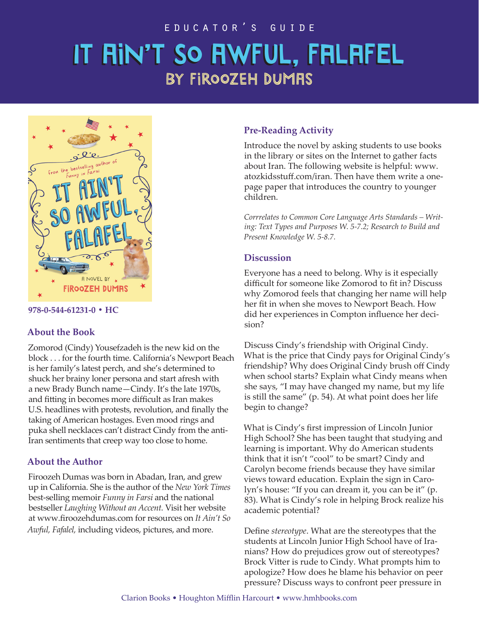### educator's guide

# IT RIN'T SO AWFUL, FALAFEL by Firoozeh dumas



#### **978-0-544-61231-0 • HC**

#### **About the Book**

Zomorod (Cindy) Yousefzadeh is the new kid on the block . . . for the fourth time. California's Newport Beach is her family's latest perch, and she's determined to shuck her brainy loner persona and start afresh with a new Brady Bunch name—Cindy. It's the late 1970s, and fitting in becomes more difficult as Iran makes U.S. headlines with protests, revolution, and finally the taking of American hostages. Even mood rings and puka shell necklaces can't distract Cindy from the anti-Iran sentiments that creep way too close to home.

#### **About the Author**

Firoozeh Dumas was born in Abadan, Iran, and grew up in California. She is the author of the *New York Times* best-selling memoir *Funny in Farsi* and the national bestseller *Laughing Without an Accent.* Visit her website at www.firoozehdumas.com for resources on *It Ain't So Awful, Fafalel,* including videos, pictures, and more.

#### **Pre-Reading Activity**

Introduce the novel by asking students to use books in the library or sites on the Internet to gather facts about Iran. The following website is helpful: www. atozkidsstuff.com/iran. Then have them write a onepage paper that introduces the country to younger children.

*Corrrelates to Common Core Language Arts Standards – Writing: Text Types and Purposes W. 5-7.2; Research to Build and Present Knowledge W. 5-8.7.*

#### **Discussion**

Everyone has a need to belong. Why is it especially difficult for someone like Zomorod to fit in? Discuss why Zomorod feels that changing her name will help her fit in when she moves to Newport Beach. How did her experiences in Compton influence her decision?

Discuss Cindy's friendship with Original Cindy. What is the price that Cindy pays for Original Cindy's friendship? Why does Original Cindy brush off Cindy when school starts? Explain what Cindy means when she says, "I may have changed my name, but my life is still the same" (p. 54). At what point does her life begin to change?

What is Cindy's first impression of Lincoln Junior High School? She has been taught that studying and learning is important. Why do American students think that it isn't "cool" to be smart? Cindy and Carolyn become friends because they have similar views toward education. Explain the sign in Carolyn's house: "If you can dream it, you can be it" (p. 83). What is Cindy's role in helping Brock realize his academic potential?

Define *stereotype*. What are the stereotypes that the students at Lincoln Junior High School have of Iranians? How do prejudices grow out of stereotypes? Brock Vitter is rude to Cindy. What prompts him to apologize? How does he blame his behavior on peer pressure? Discuss ways to confront peer pressure in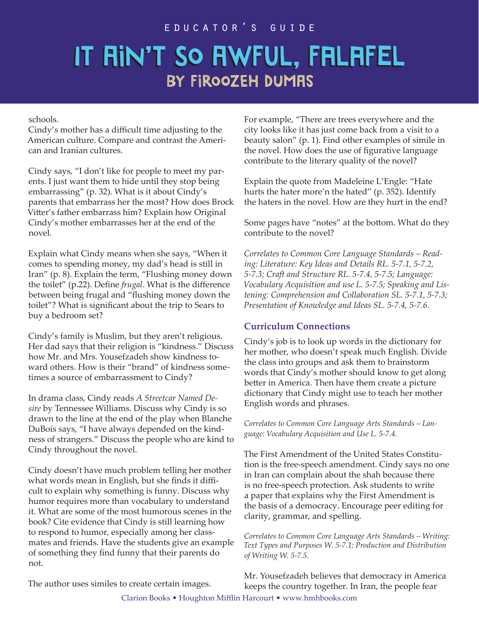#### educator's guide

## IT RIN'T SO AWFUL, FALAFEL BY FIROOZEH DUMAS

schools.

Cindy's mother has a difficult time adjusting to the American culture. Compare and contrast the American and Iranian cultures.

Cindy says, "I don't like for people to meet my parents. I just want them to hide until they stop being embarrassing" (p. 32). What is it about Cindy's parents that embarrass her the most? How does Brock Vitter's father embarrass him? Explain how Original Cindy's mother embarrasses her at the end of the novel.

Explain what Cindy means when she says, "When it comes to spending money, my dad's head is still in Iran" (p. 8). Explain the term, "Flushing money down the toilet" (p.22). Define *frugal*. What is the difference between being frugal and "flushing money down the toilet"? What is significant about the trip to Sears to buy a bedroom set?

Cindy's family is Muslim, but they aren't religious. Her dad says that their religion is "kindness." Discuss how Mr. and Mrs. Yousefzadeh show kindness toward others. How is their "brand" of kindness sometimes a source of embarrassment to Cindy?

In drama class, Cindy reads *A Streetcar Named Desire* by Tennessee Williams. Discuss why Cindy is so drawn to the line at the end of the play when Blanche DuBois says, "I have always depended on the kindness of strangers." Discuss the people who are kind to Cindy throughout the novel.

Cindy doesn't have much problem telling her mother what words mean in English, but she finds it difficult to explain why something is funny. Discuss why humor requires more than vocabulary to understand it. What are some of the most humorous scenes in the book? Cite evidence that Cindy is still learning how to respond to humor, especially among her classmates and friends. Have the students give an example of something they find funny that their parents do not.

For example, "There are trees everywhere and the city looks like it has just come back from a visit to a beauty salon" (p. 1). Find other examples of simile in the novel. How does the use of figurative language contribute to the literary quality of the novel?

Explain the quote from Madeleine L'Engle: "Hate hurts the hater more'n the hated" (p. 352). Identify the haters in the novel. How are they hurt in the end?

Some pages have "notes" at the bottom. What do they contribute to the novel?

*Correlates to Common Core Language Standards – Reading: Literature: Key Ideas and Details RL. 5-7.1, 5-7.2, 5-7.3; Craft and Structure RL. 5-7.4, 5-7.5; Language: Vocabulary Acquisition and use L. 5-7.5; Speaking and Listening: Comprehension and Collaboration SL. 5-7.1, 5-7.3; Presentation of Knowledge and Ideas SL. 5-7.4, 5-7.6.*

## **Curriculum Connections**

Cindy's job is to look up words in the dictionary for her mother, who doesn't speak much English. Divide the class into groups and ask them to brainstorm words that Cindy's mother should know to get along better in America. Then have them create a picture dictionary that Cindy might use to teach her mother English words and phrases.

*Correlates to Common Core Language Arts Standards – Language: Vocabulary Acquisition and Use L. 5-7.4.*

The First Amendment of the United States Constitution is the free-speech amendment. Cindy says no one in Iran can complain about the shah because there is no free-speech protection. Ask students to write a paper that explains why the First Amendment is the basis of a democracy. Encourage peer editing for clarity, grammar, and spelling.

*Correlates to Common Core Language Arts Standards – Writing: Text Types and Purposes W. 5-7.1; Production and Distribution of Writing W. 5-7.5.*

Mr. Yousefzadeh believes that democracy in America keeps the country together. In Iran, the people fear Clarion Books • Houghton Mifflin Harcourt • www.hmhbooks.com

The author uses similes to create certain images.